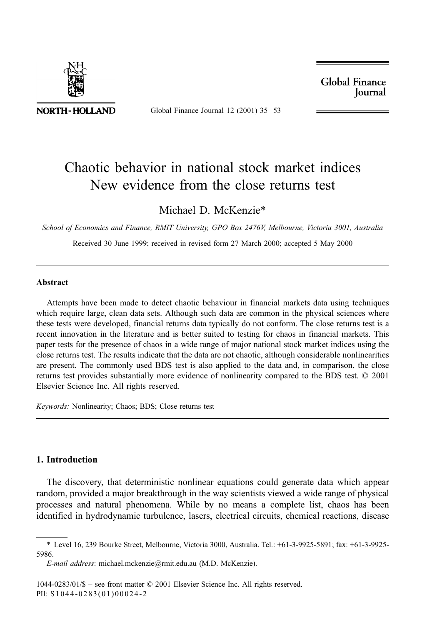

Global Finance Journal 12 (2001)  $35-53$ 

**Global Finance Iournal** 

## Chaotic behavior in national stock market indices New evidence from the close returns test

Michael D. McKenzie\*

School of Economics and Finance, RMIT University, GPO Box 2476V, Melbourne, Victoria 3001, Australia

Received 30 June 1999; received in revised form 27 March 2000; accepted 5 May 2000

## **Abstract**

Attempts have been made to detect chaotic behaviour in financial markets data using techniques which require large, clean data sets. Although such data are common in the physical sciences where these tests were developed, financial returns data typically do not conform. The close returns test is a recent innovation in the literature and is better suited to testing for chaos in financial markets. This paper tests for the presence of chaos in a wide range of major national stock market indices using the close returns test. The results indicate that the data are not chaotic, although considerable nonlinearities are present. The commonly used BDS test is also applied to the data and, in comparison, the close returns test provides substantially more evidence of nonlinearity compared to the BDS test. © 2001 Elsevier Science Inc. All rights reserved.

Keywords: Nonlinearity; Chaos; BDS; Close returns test

## 1. Introduction

The discovery, that deterministic nonlinear equations could generate data which appear random, provided a major breakthrough in the way scientists viewed a wide range of physical processes and natural phenomena. While by no means a complete list, chaos has been identified in hydrodynamic turbulence, lasers, electrical circuits, chemical reactions, disease

<sup>\*</sup> Level 16, 239 Bourke Street, Melbourne, Victoria 3000, Australia. Tel.: +61-3-9925-5891; fax: +61-3-9925-5986.

E-mail address: michael.mckenzie@rmit.edu.au (M.D. McKenzie).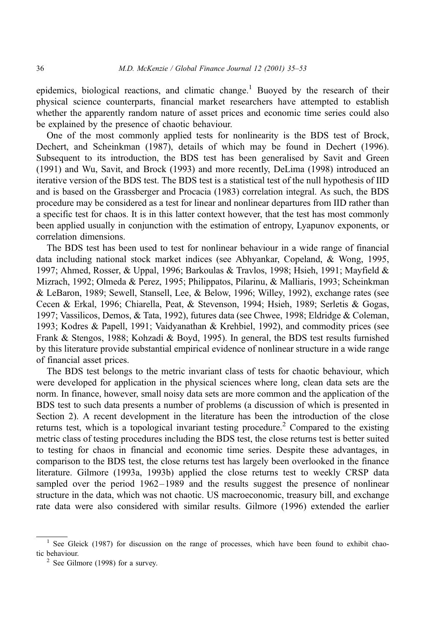epidemics, biological reactions, and climatic change.<sup>1</sup> Buoyed by the research of their physical science counterparts, financial market researchers have attempted to establish whether the apparently random nature of asset prices and economic time series could also be explained by the presence of chaotic behaviour.

One of the most commonly applied tests for nonlinearity is the BDS test of Brock, Dechert, and Scheinkman (1987), details of which may be found in Dechert (1996). Subsequent to its introduction, the BDS test has been generalised by Savit and Green (1991) and Wu, Savit, and Brock (1993) and more recently, DeLima (1998) introduced an iterative version of the BDS test. The BDS test is a statistical test of the null hypothesis of IID and is based on the Grassberger and Procacia (1983) correlation integral. As such, the BDS procedure may be considered as a test for linear and nonlinear departures from IID rather than a specific test for chaos. It is in this latter context however, that the test has most commonly been applied usually in conjunction with the estimation of entropy, Lyapunov exponents, or correlation dimensions.

The BDS test has been used to test for nonlinear behaviour in a wide range of financial data including national stock market indices (see Abhyankar, Copeland, & Wong, 1995, 1997; Ahmed, Rosser, & Uppal, 1996; Barkoulas & Travlos, 1998; Hsieh, 1991; Mayfield & Mizrach, 1992; Olmeda & Perez, 1995; Philippatos, Pilarinu, & Malliaris, 1993; Scheinkman & LeBaron, 1989; Sewell, Stansell, Lee, & Below, 1996; Willey, 1992), exchange rates (see Cecen & Erkal, 1996; Chiarella, Peat, & Stevenson, 1994; Hsieh, 1989; Serletis & Gogas, 1997; Vassilicos, Demos, & Tata, 1992), futures data (see Chwee, 1998; Eldridge & Coleman, 1993; Kodres & Papell, 1991; Vaidyanathan & Krehbiel, 1992), and commodity prices (see Frank & Stengos, 1988; Kohzadi & Boyd, 1995). In general, the BDS test results furnished by this literature provide substantial empirical evidence of nonlinear structure in a wide range of financial asset prices.

The BDS test belongs to the metric invariant class of tests for chaotic behaviour, which were developed for application in the physical sciences where long, clean data sets are the norm. In finance, however, small noisy data sets are more common and the application of the BDS test to such data presents a number of problems (a discussion of which is presented in Section 2). A recent development in the literature has been the introduction of the close returns test, which is a topological invariant testing procedure.<sup>2</sup> Compared to the existing metric class of testing procedures including the BDS test, the close returns test is better suited to testing for chaos in financial and economic time series. Despite these advantages, in comparison to the BDS test, the close returns test has largely been overlooked in the finance literature. Gilmore (1993a, 1993b) applied the close returns test to weekly CRSP data sampled over the period 1962–1989 and the results suggest the presence of nonlinear structure in the data, which was not chaotic. US macroeconomic, treasury bill, and exchange rate data were also considered with similar results. Gilmore (1996) extended the earlier

<sup>&</sup>lt;sup>1</sup> See Gleick (1987) for discussion on the range of processes, which have been found to exhibit chaotic behaviour.

 $2$  See Gilmore (1998) for a survey.